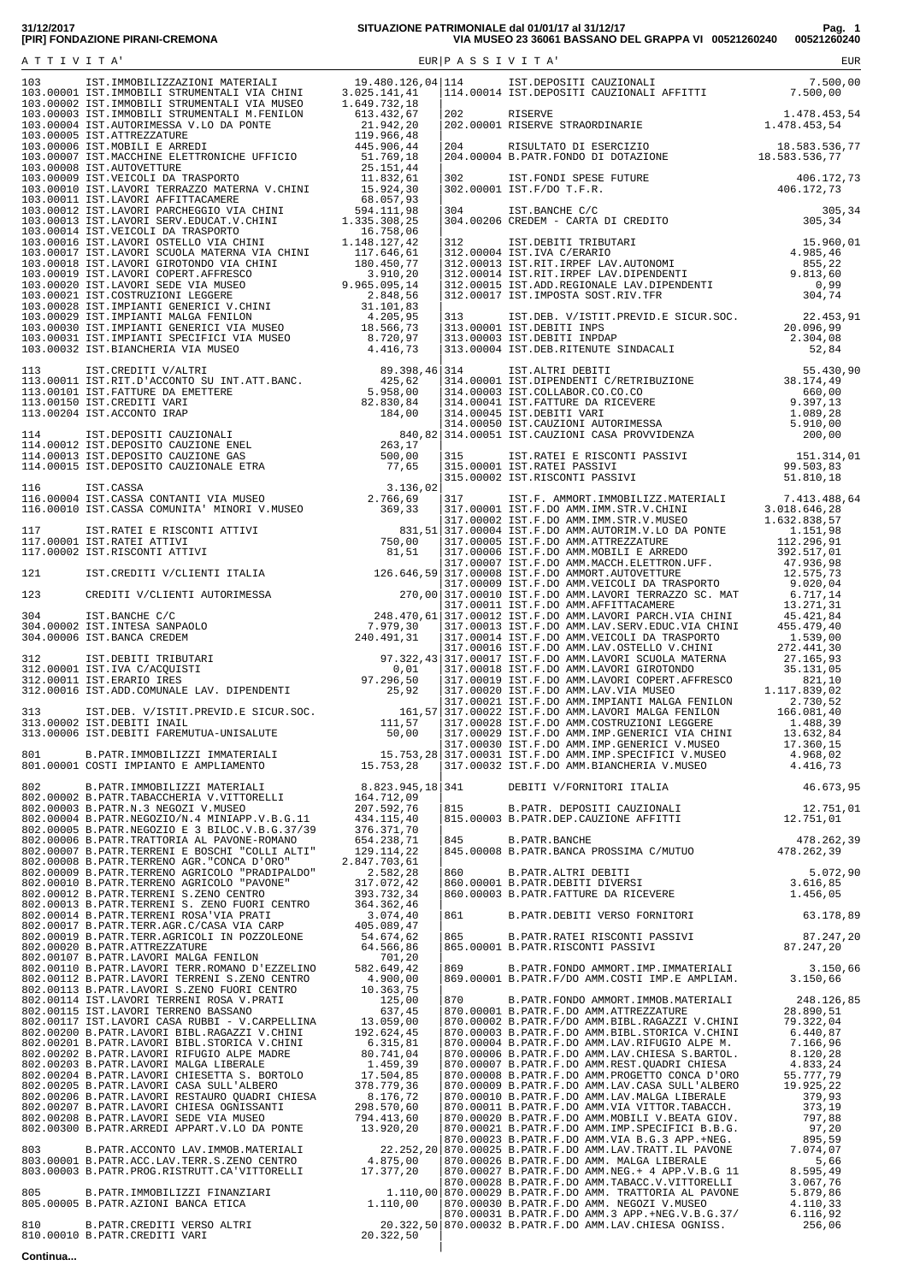| $\begin{bmatrix} 14.0012 & 187.0802871 & 0.021341 & 0.0014 & 0.0014 & 0.0014 & 0.0014 & 0.0014 & 0.0014 & 0.0014 & 0.0014 & 0.0014 & 0.0014 & 0.0014 & 0.0014 & 0.0014 & 0.0014 & 0.0014 & 0.0014 & 0.0014 & 0.0014 & 0.0014 & 0.0014 & 0.0014 & 0.0014 & 0.001$ |  |                                                                                                                                           |  |
|------------------------------------------------------------------------------------------------------------------------------------------------------------------------------------------------------------------------------------------------------------------|--|-------------------------------------------------------------------------------------------------------------------------------------------|--|
|                                                                                                                                                                                                                                                                  |  |                                                                                                                                           |  |
|                                                                                                                                                                                                                                                                  |  |                                                                                                                                           |  |
|                                                                                                                                                                                                                                                                  |  |                                                                                                                                           |  |
|                                                                                                                                                                                                                                                                  |  |                                                                                                                                           |  |
|                                                                                                                                                                                                                                                                  |  |                                                                                                                                           |  |
|                                                                                                                                                                                                                                                                  |  |                                                                                                                                           |  |
|                                                                                                                                                                                                                                                                  |  | 845.00003 D.FAIR.DANCHE<br>845.00008 B.PATR.BANCHE 478.262,39<br>845.00008 B.PATR.BANCA PROSSIMA C/MUTUO 478.262,39                       |  |
|                                                                                                                                                                                                                                                                  |  | 860.00000 B.FAIR.NLTRI DEBITI 5.072,90<br>860.00001 B.PATR.DEBITI DIVERSI 3.616,85<br>860.00003 B.PATR.FATTURE DA RICEVERE 1.456,05       |  |
|                                                                                                                                                                                                                                                                  |  |                                                                                                                                           |  |
|                                                                                                                                                                                                                                                                  |  | 861 B.PATR.DEBITI VERSO FORNITORI 63.178,89<br>865 B.PATR.RATEI RISCONTI PASSIVI 87.247,20<br>865.00001 B.PATR.RISCONTI PASSIVI 87.247,20 |  |
|                                                                                                                                                                                                                                                                  |  |                                                                                                                                           |  |
|                                                                                                                                                                                                                                                                  |  |                                                                                                                                           |  |
|                                                                                                                                                                                                                                                                  |  |                                                                                                                                           |  |
|                                                                                                                                                                                                                                                                  |  |                                                                                                                                           |  |
|                                                                                                                                                                                                                                                                  |  |                                                                                                                                           |  |
|                                                                                                                                                                                                                                                                  |  |                                                                                                                                           |  |
|                                                                                                                                                                                                                                                                  |  |                                                                                                                                           |  |
|                                                                                                                                                                                                                                                                  |  |                                                                                                                                           |  |
|                                                                                                                                                                                                                                                                  |  |                                                                                                                                           |  |
|                                                                                                                                                                                                                                                                  |  |                                                                                                                                           |  |
|                                                                                                                                                                                                                                                                  |  |                                                                                                                                           |  |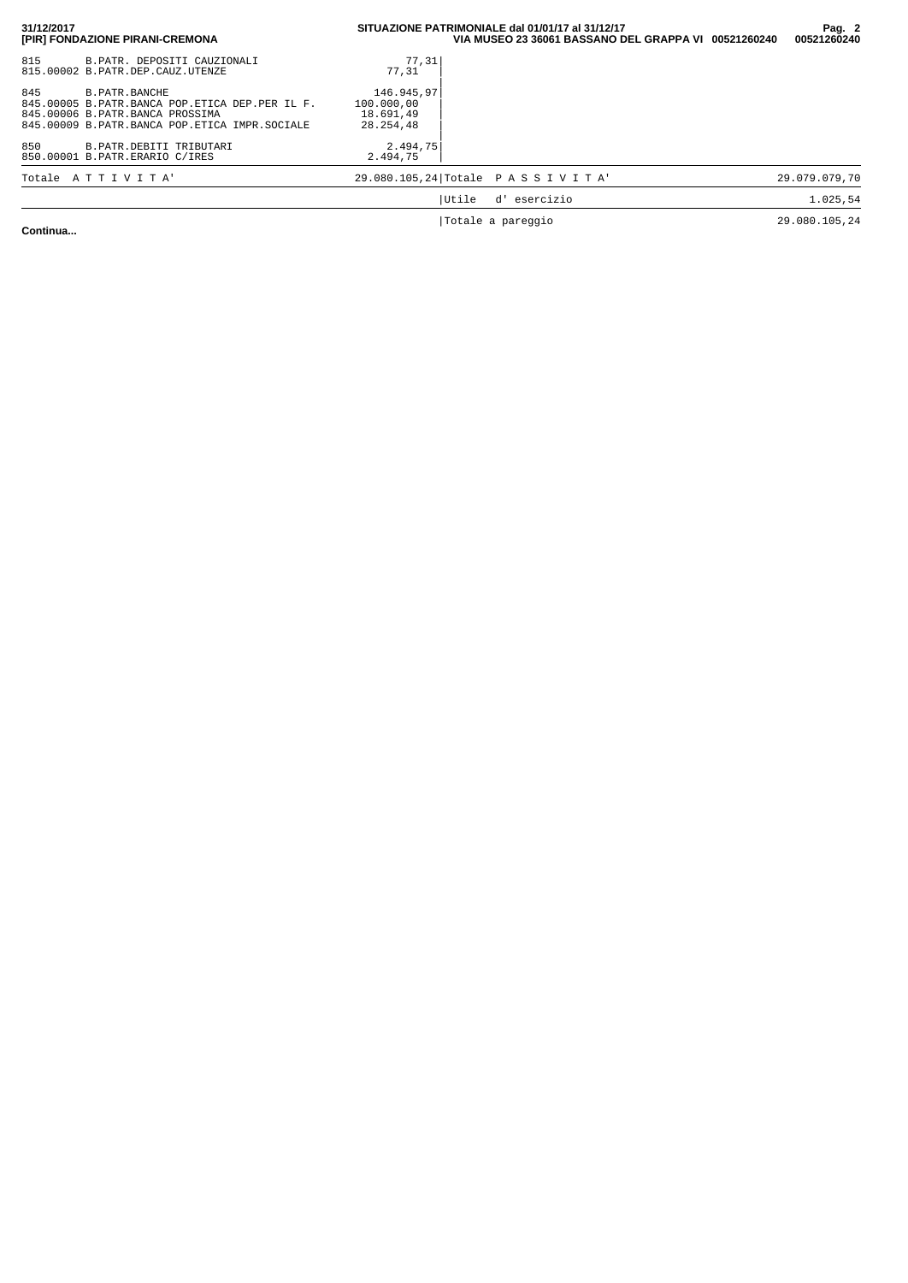| 31/12/2017<br>[PIR] FONDAZIONE PIRANI-CREMONA                                                                                                              | SITUAZIONE PATRIMONIALE dal 01/01/17 al 31/12/17<br>VIA MUSEO 23 36061 BASSANO DEL GRAPPA VI 00521260240 |                   | Pag. 2<br>00521260240 |
|------------------------------------------------------------------------------------------------------------------------------------------------------------|----------------------------------------------------------------------------------------------------------|-------------------|-----------------------|
| 815<br>B.PATR. DEPOSITI CAUZIONALI<br>815.00002 B.PATR.DEP.CAUZ.UTENZE                                                                                     | 77,31<br>77,31                                                                                           |                   |                       |
| 845<br>B.PATR.BANCHE<br>845.00005 B.PATR.BANCA POP.ETICA DEP.PER IL F.<br>845.00006 B.PATR.BANCA PROSSIMA<br>845.00009 B.PATR.BANCA POP.ETICA IMPR.SOCIALE | 146.945,97<br>100.000,00<br>18.691.49<br>28.254.48                                                       |                   |                       |
| 850<br>B. PATR. DEBITI TRIBUTARI<br>850.00001 B.PATR.ERARIO C/IRES                                                                                         | 2.494.75<br>2.494,75                                                                                     |                   |                       |
| Totale ATTIVITA'                                                                                                                                           | 29.080.105,24 Totale PASSIVITA'                                                                          |                   | 29.079.079.70         |
|                                                                                                                                                            | Utile                                                                                                    | d' esercizio      | 1.025.54              |
| $\sim$ $\sim$ $\sim$ $\sim$                                                                                                                                |                                                                                                          | Totale a pareggio | 29.080.105,24         |

**Continua...**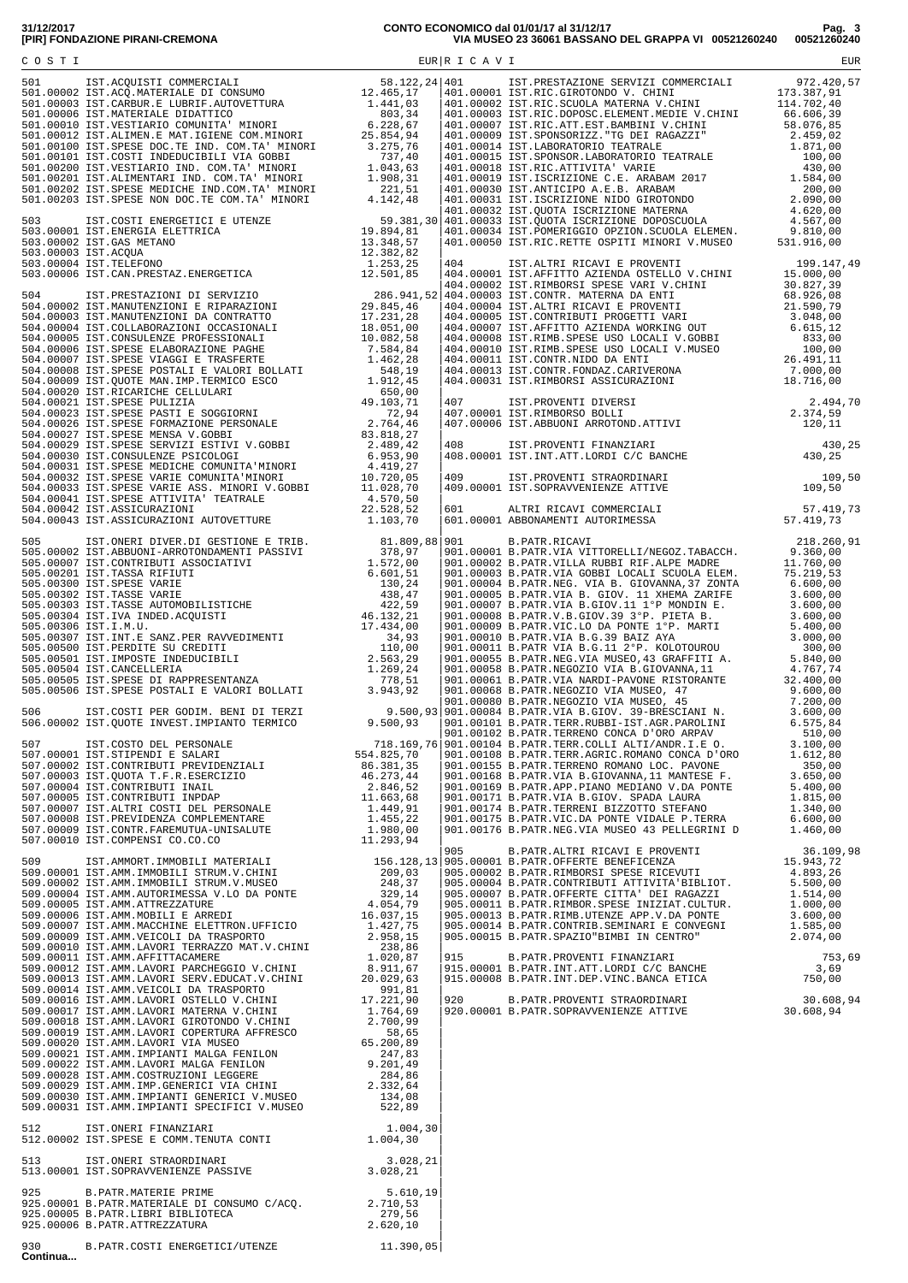|                 |                                                                                                                                                                                                                                                                                                                                                                                                                              |  | 915 B.PATR.PROVENTI FINANZIARI 753,69<br>915.00001 B.PATR.INT.ATT.LORDI C/C BANCHE 3,69<br>915.00008 B.PATR.INT.DEP.VINC.BANCA ETICA 750,00<br>920 B.PATR.PROVENTI STRAORDINARI 30.608,94<br>920.00001 B.PATR.SOPRAVVENIENZE ATTIVE 30 |  |
|-----------------|------------------------------------------------------------------------------------------------------------------------------------------------------------------------------------------------------------------------------------------------------------------------------------------------------------------------------------------------------------------------------------------------------------------------------|--|----------------------------------------------------------------------------------------------------------------------------------------------------------------------------------------------------------------------------------------|--|
|                 |                                                                                                                                                                                                                                                                                                                                                                                                                              |  |                                                                                                                                                                                                                                        |  |
|                 |                                                                                                                                                                                                                                                                                                                                                                                                                              |  |                                                                                                                                                                                                                                        |  |
|                 | $\begin{tabular}{lllllllllllllllllllllll} \texttt{513} & \texttt{IST.ONERT STRAORDINARI} & & & & & & & \\ \texttt{513.00001 IST. SOPRAVVENIENZE PASSIVE} & & & & & & \\ \texttt{925} & \texttt{B.PATR. MATERIE PRIME} & & & & & \\ \texttt{925.00001 B.PATR. MATERIALE DI CONSUMO C/ACQ.} & & & & \\ \texttt{925.00005 B.PATR. LISTBISLIOTECA} & & & & \\ \texttt{925.00005 B.PATR. LISTBISLIOTECA} & & & & \\ \texttt{925.$ |  |                                                                                                                                                                                                                                        |  |
| 930<br>Continua | B.PATR.COSTI ENERGETICI/UTENZE $11.390,05$                                                                                                                                                                                                                                                                                                                                                                                   |  |                                                                                                                                                                                                                                        |  |